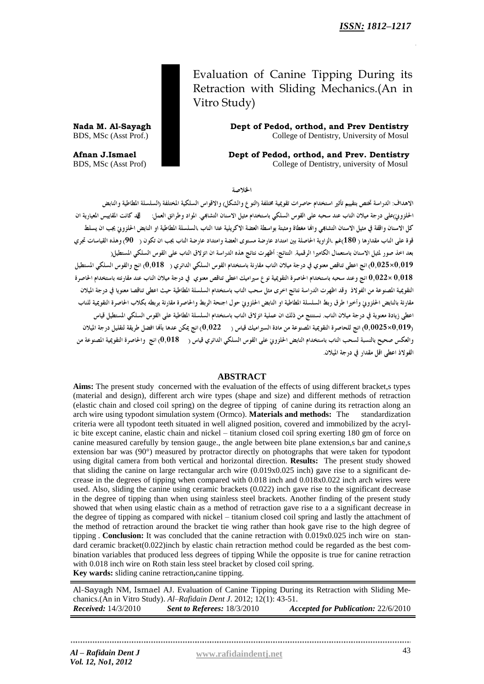Evaluation of Canine Tipping During its Retraction with Sliding Mechanics.(An in Vitro Study)

**Nada M. Al-Sayagh Dept of Pedod, orthod, and Prev Dentistry** BDS, MSc (Asst Prof.) College of Dentistry, University of Mosul

**Afnan J.Ismael Dept of Pedod, orthod, and Prev. Dentistry** BDS, MSc (Asst Prof) **DENTIST COLLEGE OF DENTISTIES** College of Dentistry, university of Mosul

الخلاصة

الإهداف: الدراسة تختص يتقييم تأثير استخدام حاصرات تقوعية مختلفة (النوع والشكل) والإقواس السلكية المختلفة (السلسلة المطاطية والنابض الحلزوني)على درجة ميلان الناب عند سحبه على القوس السلكي باستخدام مثيل الاسنان التشابمي. المواد وطرائق العمل: لقد كانت المقاييس المعيارية ان .<br>كل الاسنان واقفة في مثيل الاسنان التشابمي والها مغطاة ومثبتة بواسطة العضة الاكريلية عدا الناب ،السلسلة المطاطية او النابض الحلزوني يجب ان يسلط قوة على الناب مقدارها ( 180)غم ،الزاوية الحاصلة بين امتداد عارضة مستوى العضة وامتداد عارضة الناب يجب ان تكون ( 90) وهذه القياسات تجري بعد اخذ صور لمثيل الاسنان باستعمال الكاميرا الرقمية. النتائج: أظهرت نتائج هذه الدراسة ان انزلاق الناب على القوس السلكي المستطيل( 0,019×0,025) انج اعطى تناقص معنوي في درجة ميلان الناب مقارنة باستخدام القوس السلكي الدائري ( 0,018) انج والقوس السلكي المستطيل وعند سحبه باستخدام الحاصرة التقويمية نوع سيراميك اعطى تناقص معنوي في درجة ميلان الناب عند مقارنته باستخدام الحاصرة  $0.022\times0,018$ التقويمية المصنوعة من الفولاذ وقد اظهرت الدراسة نتائج اخرى مثل سحب الناب باستخدام السلسلة المطاطية حيث اعطى تناقصا معنويا في درجة الميلان مقارنة بالنابض الحلزوين وأخيرا طرق ربط السلسلة المطاطية او النابض الحلزويي حول اجنحة الربط والحاصرة مقارنة بربطه بكلاب الحاصرة التقويمية للناب اعطى زيادة معنوية في درجة ميلان الناب. نستنتج من ذلك ان عملية انزلاق الناب باستخدام السلسلة المطاطية على القوس السلكي المستطيل قياس (0,0025×0,019) انج للحاصرة التقويمية المصنوعة من مادة السيراميك قياس ( 0,022) انج يمكن عدها بألها افضل طريقة لتقليل درجة الميلان والعكس صحيح بالنسبة لسحب الناب باستخدام النابض الحلزونى على القوس السلكي الدائري قياس ( 0,018) انج والحاصرة التقويمية المصنوعة من الفولاذ أعطى أقل مقدار في درجة المبلان

### **ABSTRACT**

**Aims:** The present study concerned with the evaluation of the effects of using different bracket,s types (material and design), different arch wire types (shape and size) and different methods of retraction (elastic chain and closed coil spring) on the degree of tipping of canine during its retraction along an arch wire using typodont simulation system (Ormco). **Materials and methods:** The standardization criteria were all typodont teeth situated in well aligned position, covered and immobilized by the acrylic bite except canine, elastic chain and nickel – titanium closed coil spring exerting 180 gm of force on canine measured carefully by tension gauge., the angle between bite plane extension,s bar and canine,s extension bar was (90°) measured by protractor directly on photographs that were taken for typodont using digital camera from both vertical and horizontal direction. **Results:** The present study showed that sliding the canine on large rectangular arch wire (0.019x0.025 inch) gave rise to a significant decrease in the degrees of tipping when compared with 0.018 inch and 0.018x0.022 inch arch wires were used. Also, sliding the canine using ceramic brackets (0.022) inch gave rise to the significant decrease in the degree of tipping than when using stainless steel brackets. Another finding of the present study showed that when using elastic chain as a method of retraction gave rise to a a significant decrease in the degree of tipping as compared with nickel – titanium closed coil spring and lastly the attachment of the method of retraction around the bracket tie wing rather than hook gave rise to the high degree of tipping . **Conclusion:** It was concluded that the canine retraction with 0.019x0.025 inch wire on standard ceramic bracket(0.022)inch by elastic chain retraction method could be regarded as the best combination variables that produced less degrees of tipping While the opposite is true for canine retraction with 0.018 inch wire on Roth stain less steel bracket by closed coil spring. **Key wards:** sliding canine retraction**,**canine tipping.

Al-Sayagh NM, Ismael AJ. Evaluation of Canine Tipping During its Retraction with Sliding Mechanics.(An in Vitro Study). *Al–Rafidain Dent J*. 2012; 12(1): 43-51. *Received:* 14/3/2010 *Sent to Referees:* 18/3/2010 *Accepted for Publication:* 22/6/2010

*Al – Rafidain Dent J* **[www.rafidaindentj.net](file:///I:\7(1)%20fi\www.rafidaindentj.net)**  *Vol. 12, No1, 2012*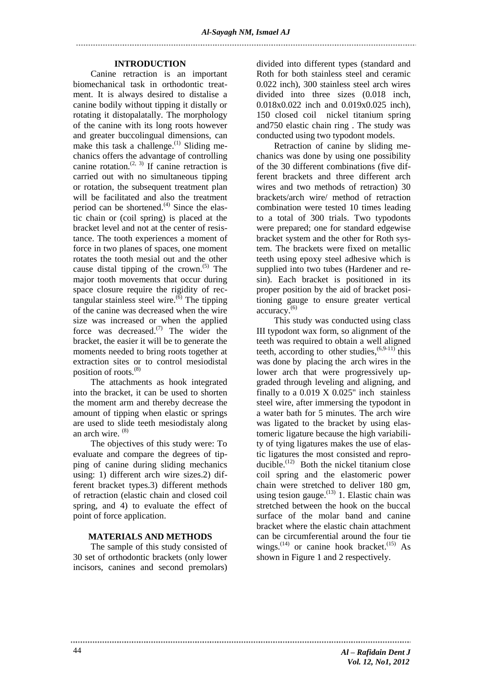### **INTRODUCTION**

Canine retraction is an important biomechanical task in orthodontic treatment. It is always desired to distalise a canine bodily without tipping it distally or rotating it distopalatally. The morphology of the canine with its long roots however and greater buccolingual dimensions, can make this task a challenge.<sup>(1)</sup> Sliding mechanics offers the advantage of controlling canine rotation.<sup> $(2, 3)$ </sup> If canine retraction is carried out with no simultaneous tipping or rotation, the subsequent treatment plan will be facilitated and also the treatment period can be shortened.<sup>(4)</sup> Since the elastic chain or (coil spring) is placed at the bracket level and not at the center of resistance. The tooth experiences a moment of force in two planes of spaces, one moment rotates the tooth mesial out and the other cause distal tipping of the crown.<sup> $(5)$ </sup> The major tooth movements that occur during space closure require the rigidity of rectangular stainless steel wire. $\overset{(6)}{0}$  The tipping of the canine was decreased when the wire size was increased or when the applied force was decreased. $(7)$  The wider the bracket, the easier it will be to generate the moments needed to bring roots together at extraction sites or to control mesiodistal position of roots. $(8)$ 

The attachments as hook integrated into the bracket, it can be used to shorten the moment arm and thereby decrease the amount of tipping when elastic or springs are used to slide teeth mesiodistaly along an arch wire.  $(8)$ 

The objectives of this study were: To evaluate and compare the degrees of tipping of canine during sliding mechanics using: 1) different arch wire sizes.2) different bracket types.3) different methods of retraction (elastic chain and closed coil spring, and 4) to evaluate the effect of point of force application.

# **MATERIALS AND METHODS**

The sample of this study consisted of 30 set of orthodontic brackets (only lower incisors, canines and second premolars)

divided into different types (standard and Roth for both stainless steel and ceramic 0.022 inch), 300 stainless steel arch wires divided into three sizes (0.018 inch, 0.018x0.022 inch and 0.019x0.025 inch), 150 closed coil nickel titanium spring and750 elastic chain ring . The study was conducted using two typodont models.

Retraction of canine by sliding mechanics was done by using one possibility of the 30 different combinations (five different brackets and three different arch wires and two methods of retraction) 30 brackets/arch wire/ method of retraction combination were tested 10 times leading to a total of 300 trials. Two typodonts were prepared; one for standard edgewise bracket system and the other for Roth system. The brackets were fixed on metallic teeth using epoxy steel adhesive which is supplied into two tubes (Hardener and resin). Each bracket is positioned in its proper position by the aid of bracket positioning gauge to ensure greater vertical accuracy.(6)

This study was conducted using class III typodont wax form, so alignment of the teeth was required to obtain a well aligned teeth, according to other studies,  $(6.9-11)$ <sup>this</sup> was done by placing the arch wires in the lower arch that were progressively upgraded through leveling and aligning, and finally to a  $0.019 \times 0.025$ " inch stainless steel wire, after immersing the typodont in a water bath for 5 minutes. The arch wire was ligated to the bracket by using elastomeric ligature because the high variability of tying ligatures makes the use of elastic ligatures the most consisted and reproducible.<sup>(12)</sup> Both the nickel titanium close coil spring and the elastomeric power chain were stretched to deliver 180 gm, using tesion gauge.<sup> $(13)$ </sup> 1. Elastic chain was stretched between the hook on the buccal surface of the molar band and canine bracket where the elastic chain attachment can be circumferential around the four tie wings. $^{(14)}$  or canine hook bracket. $^{(15)}$  As shown in Figure 1 and 2 respectively.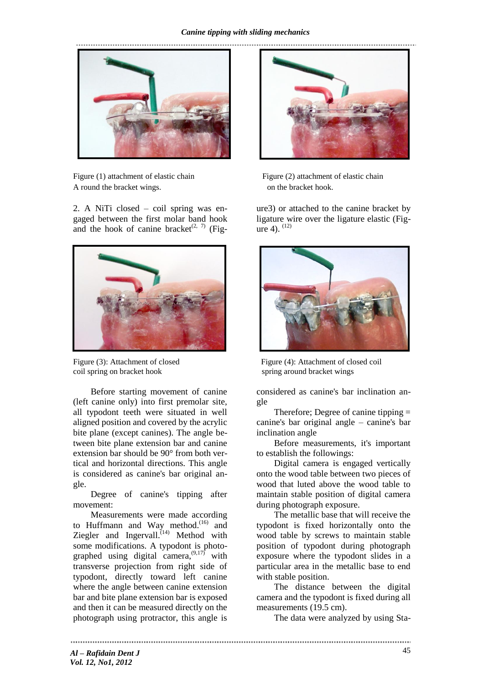

Figure (1) attachment of elastic chain Figure (2) attachment of elastic chain A round the bracket wings. The bracket hook.

2. A NiTi closed – coil spring was engaged between the first molar band hook and the hook of canine bracket<sup> $(2, 7)$ </sup> (Fig-



coil spring on bracket hook spring around bracket wings

Before starting movement of canine (left canine only) into first premolar site, all typodont teeth were situated in well aligned position and covered by the acrylic bite plane (except canines). The angle between bite plane extension bar and canine extension bar should be 90° from both vertical and horizontal directions. This angle is considered as canine's bar original angle.

Degree of canine's tipping after movement:

Measurements were made according to Huffmann and Way method.<sup>(16)</sup> and Ziegler and Ingervall.<sup> $(14)$ </sup> Method with some modifications. A typodont is photographed using digital camera,  $^{(9,17)}$  with transverse projection from right side of typodont, directly toward left canine where the angle between canine extension bar and bite plane extension bar is exposed and then it can be measured directly on the photograph using protractor, this angle is

.....................



ure3) or attached to the canine bracket by ligature wire over the ligature elastic (Figure 4).  $(12)$ 



Figure (3): Attachment of closed Figure (4): Attachment of closed coil

considered as canine's bar inclination angle

Therefore; Degree of canine tipping = canine's bar original angle – canine's bar inclination angle

Before measurements, it's important to establish the followings:

Digital camera is engaged vertically onto the wood table between two pieces of wood that luted above the wood table to maintain stable position of digital camera during photograph exposure.

The metallic base that will receive the typodont is fixed horizontally onto the wood table by screws to maintain stable position of typodont during photograph exposure where the typodont slides in a particular area in the metallic base to end with stable position.

The distance between the digital camera and the typodont is fixed during all measurements (19.5 cm).

The data were analyzed by using Sta-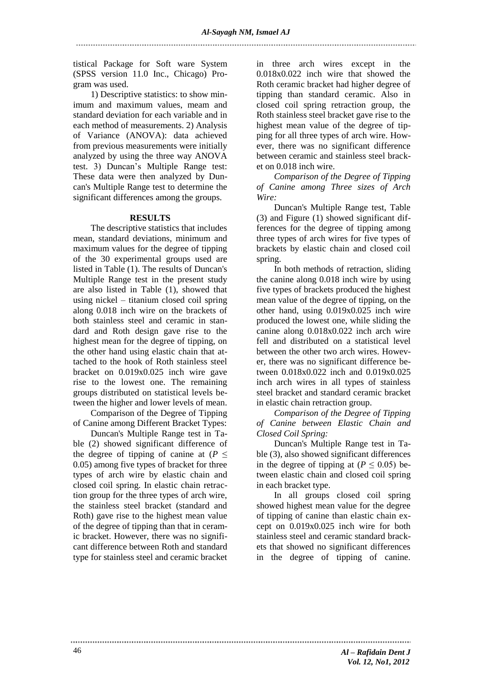tistical Package for Soft ware System (SPSS version 11.0 Inc., Chicago) Program was used.

1) Descriptive statistics: to show minimum and maximum values, meam and standard deviation for each variable and in each method of measurements. 2) Analysis of Variance (ANOVA): data achieved from previous measurements were initially analyzed by using the three way ANOVA test. 3) Duncan's Multiple Range test: These data were then analyzed by Duncan's Multiple Range test to determine the significant differences among the groups.

### **RESULTS**

The descriptive statistics that includes mean, standard deviations, minimum and maximum values for the degree of tipping of the 30 experimental groups used are listed in Table (1). The results of Duncan's Multiple Range test in the present study are also listed in Table (1), showed that using nickel – titanium closed coil spring along 0.018 inch wire on the brackets of both stainless steel and ceramic in standard and Roth design gave rise to the highest mean for the degree of tipping, on the other hand using elastic chain that attached to the hook of Roth stainless steel bracket on 0.019x0.025 inch wire gave rise to the lowest one. The remaining groups distributed on statistical levels between the higher and lower levels of mean.

Comparison of the Degree of Tipping of Canine among Different Bracket Types:

Duncan's Multiple Range test in Table (2) showed significant difference of the degree of tipping of canine at  $(P \leq$ 0.05) among five types of bracket for three types of arch wire by elastic chain and closed coil spring. In elastic chain retraction group for the three types of arch wire, the stainless steel bracket (standard and Roth) gave rise to the highest mean value of the degree of tipping than that in ceramic bracket. However, there was no significant difference between Roth and standard type for stainless steel and ceramic bracket

in three arch wires except in the 0.018x0.022 inch wire that showed the Roth ceramic bracket had higher degree of tipping than standard ceramic. Also in closed coil spring retraction group, the Roth stainless steel bracket gave rise to the highest mean value of the degree of tipping for all three types of arch wire. However, there was no significant difference between ceramic and stainless steel bracket on 0.018 inch wire.

*Comparison of the Degree of Tipping of Canine among Three sizes of Arch Wire:*

Duncan's Multiple Range test, Table (3) and Figure (1) showed significant differences for the degree of tipping among three types of arch wires for five types of brackets by elastic chain and closed coil spring.

In both methods of retraction, sliding the canine along 0.018 inch wire by using five types of brackets produced the highest mean value of the degree of tipping, on the other hand, using 0.019x0.025 inch wire produced the lowest one, while sliding the canine along 0.018x0.022 inch arch wire fell and distributed on a statistical level between the other two arch wires. However, there was no significant difference between 0.018x0.022 inch and 0.019x0.025 inch arch wires in all types of stainless steel bracket and standard ceramic bracket in elastic chain retraction group.

*Comparison of the Degree of Tipping of Canine between Elastic Chain and Closed Coil Spring:*

Duncan's Multiple Range test in Table (3), also showed significant differences in the degree of tipping at ( $P \leq 0.05$ ) between elastic chain and closed coil spring in each bracket type.

In all groups closed coil spring showed highest mean value for the degree of tipping of canine than elastic chain except on 0.019x0.025 inch wire for both stainless steel and ceramic standard brackets that showed no significant differences in the degree of tipping of canine.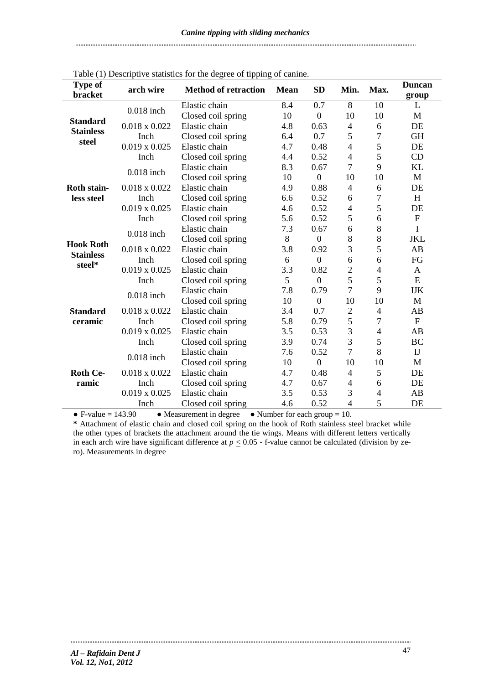#### Table (1) Descriptive statistics for the degree of tipping of canine. **Type of bracket arch wire Method of retraction Mean SD Min. Max. Duncan group Standard Stainless steel** 0.018 inch Elastic chain  $8.4$  0.7 8 10 L<br>Closed soil grains  $10$  0  $10$  10  $10$  M Closed coil spring  $10 \t 0 \t 10 \t 10$  M 0.018 x 0.022 Inch Elastic chain 4.8 0.63 4 6 DE Closed coil spring  $6.4$  0.7 5 7 GH 0.019 x 0.025 Inch Elastic chain 4.7 0.48 4 5 DE Closed coil spring  $4.4$   $0.52$   $4$   $5$  CD **Roth stainless steel** 0.018 inch Elastic chain  $\begin{array}{ccc} 8.3 & 0.67 & 7 & 9 \end{array}$  KL Closed coil spring  $10 \t 10 \t 10 \t 10$  M 0.018 x 0.022 Inch Elastic chain 4.9 0.88 4 6 DE Closed coil spring  $6.6$   $0.52$   $6$   $7$  H 0.019 x 0.025 Inch Elastic chain 4.6 0.52 4 5 DE Closed coil spring  $5.6$   $0.52$   $5$   $6$  F **Hook Roth Stainless steel\*** 0.018 inch Elastic chain  $7.3$  0.67 6 8 I Closed coil spring 8 0 8 8 JKL 0.018 x 0.022 Inch Elastic chain 3.8 0.92 3 5 AB Closed coil spring  $6 \t 0 \t 6 \t 6$  FG 0.019 x 0.025 Inch Elastic chain 3.3 0.82 2 4 A<br>Closed coil spring 5 0 5 5 E Closed coil spring  $5 \t 0 \t 5 \t 5$  E **Standard ceramic**   $0.018$  inch Elastic chain  $7.8$   $0.79$   $7$   $9$  IJK Closed coil spring  $10 \t 10 \t 10 \t 10$  M 0.018 x 0.022 Inch Elastic chain 3.4 0.7 2 4 AB Closed coil spring  $5.8$  0.79  $5$  7 F 0.019 x 0.025 Inch Elastic chain 3.5 0.53 3 4 AB Closed coil spring 3.9 0.74 3 5 BC **Roth Ceramic** 0.018 inch Elastic chain  $\begin{array}{ccc} 7.6 & 0.52 & 7 & 8 & \text{IJ} \\ \text{Clased coil origin} & 10 & 0 & 10 & 10 \end{array}$ Closed coil spring  $10 \t 0 \t 10 \t 10$  M 0.018 x 0.022 Inch Elastic chain 4.7 0.48 4 5 DE Closed coil spring  $4.7$   $0.67$   $4$  6 DE 0.019 x 0.025 Elastic chain 3.5 0.53 3 4 AB

• F-value = 143.90 • Measurement in degree • Number for each group = 10. **\*** Attachment of elastic chain and closed coil spring on the hook of Roth stainless steel bracket while the other types of brackets the attachment around the tie wings. Means with different letters vertically in each arch wire have significant difference at  $p \le 0.05$  - f-value cannot be calculated (division by zero). Measurements in degree

Closed coil spring  $4.6$   $0.52$   $4$   $5$  DE

Inch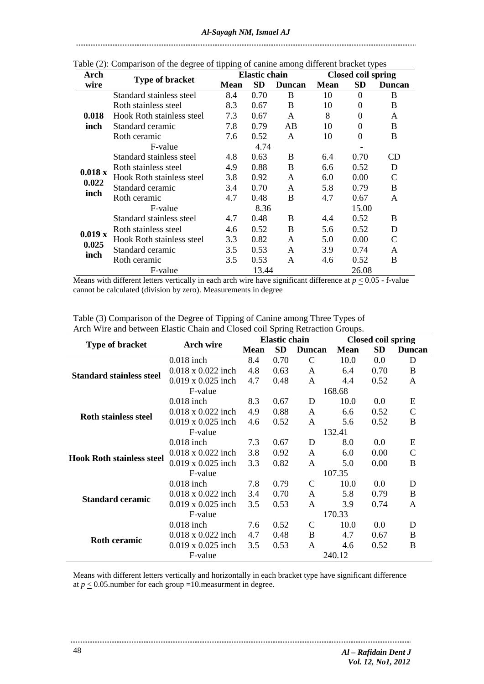| Fable (2). Comparison of the degree of upping of cannie among different bracket types |                                  |             |                      |               |                           |          |             |  |  |
|---------------------------------------------------------------------------------------|----------------------------------|-------------|----------------------|---------------|---------------------------|----------|-------------|--|--|
| Arch                                                                                  | <b>Type of bracket</b>           |             | <b>Elastic chain</b> |               | <b>Closed coil spring</b> |          |             |  |  |
| wire                                                                                  |                                  | <b>Mean</b> | SD                   | <b>Duncan</b> | <b>Mean</b>               | SD       | Duncan      |  |  |
| 0.018<br>inch                                                                         | Standard stainless steel         | 8.4         | 0.70                 | B             | 10                        | $\theta$ | B           |  |  |
|                                                                                       | Roth stainless steel             | 8.3         | 0.67                 | B             | 10                        | 0        | B           |  |  |
|                                                                                       | <b>Hook Roth stainless steel</b> | 7.3         | 0.67                 | A             | 8                         | 0        | A           |  |  |
|                                                                                       | Standard ceramic                 | 7.8         | 0.79                 | AB            | 10                        | 0        | B           |  |  |
|                                                                                       | Roth ceramic                     | 7.6         | 0.52                 | A             | 10                        | $\theta$ | B           |  |  |
|                                                                                       | F-value                          | 4.74        |                      |               |                           |          |             |  |  |
| 0.018x<br>0.022<br>inch                                                               | Standard stainless steel         | 4.8         | 0.63                 | B             | 6.4                       | 0.70     | CD          |  |  |
|                                                                                       | Roth stainless steel             | 4.9         | 0.88                 | B             | 6.6                       | 0.52     | D           |  |  |
|                                                                                       | Hook Roth stainless steel        | 3.8         | 0.92                 | A             | 6.0                       | 0.00     | $\mathbf C$ |  |  |
|                                                                                       | Standard ceramic                 | 3.4         | 0.70                 | A             | 5.8                       | 0.79     | B           |  |  |
|                                                                                       | Roth ceramic                     | 4.7         | 0.48                 | B             | 4.7                       | 0.67     | A           |  |  |
|                                                                                       | F-value                          | 8.36        |                      |               | 15.00                     |          |             |  |  |
| 0.019 x<br>0.025<br>inch                                                              | Standard stainless steel         | 4.7         | 0.48                 | B             | 4.4                       | 0.52     | B           |  |  |
|                                                                                       | Roth stainless steel             | 4.6         | 0.52                 | B             | 5.6                       | 0.52     | D           |  |  |
|                                                                                       | Hook Roth stainless steel        | 3.3         | 0.82                 | $\mathsf{A}$  | 5.0                       | 0.00     | C           |  |  |
|                                                                                       | Standard ceramic                 | 3.5         | 0.53                 | A             | 3.9                       | 0.74     | A           |  |  |
|                                                                                       | Roth ceramic                     | 3.5         | 0.53                 | A             | 4.6                       | 0.52     | B           |  |  |
|                                                                                       | F-value                          | 13.44       |                      |               | 26.08                     |          |             |  |  |

Table (2): Comparison of the degree of tipping of canine among different bracket types

Means with different letters vertically in each arch wire have significant difference at  $p \le 0.05$  - f-value cannot be calculated (division by zero). Measurements in degree

|                                  |                           | <b>Elastic chain</b> |           |               | <b>Closed coil spring</b> |      |               |
|----------------------------------|---------------------------|----------------------|-----------|---------------|---------------------------|------|---------------|
| Type of bracket                  | Arch wire                 | <b>Mean</b>          | <b>SD</b> | <b>Duncan</b> | <b>Mean</b>               | SD   | <b>Duncan</b> |
|                                  | $0.018$ inch              | 8.4                  | 0.70      | $\mathcal{C}$ | 10.0                      | 0.0  | D             |
| <b>Standard stainless steel</b>  | $0.018 \times 0.022$ inch | 4.8                  | 0.63      | A             | 6.4                       | 0.70 | B             |
|                                  | $0.019 \times 0.025$ inch | 4.7                  | 0.48      | A             | 4.4                       | 0.52 | A             |
|                                  | F-value                   | 168.68               |           |               |                           |      |               |
|                                  | $0.018$ inch              | 8.3                  | 0.67      | D             | 10.0                      | 0.0  | E             |
|                                  | $0.018 \times 0.022$ inch | 4.9                  | 0.88      | A             | 6.6                       | 0.52 | $\mathcal{C}$ |
| <b>Roth stainless steel</b>      | $0.019 \times 0.025$ inch | 4.6                  | 0.52      | A             | 5.6                       | 0.52 | B             |
|                                  | F-value                   | 132.41               |           |               |                           |      |               |
|                                  | $0.018$ inch              | 7.3                  | 0.67      | D             | 8.0                       | 0.0  | E             |
|                                  | $0.018 \times 0.022$ inch | 3.8                  | 0.92      | A             | 6.0                       | 0.00 | C             |
| <b>Hook Roth stainless steel</b> | $0.019 \times 0.025$ inch | 3.3                  | 0.82      | A             | 5.0                       | 0.00 | B             |
|                                  | F-value                   | 107.35               |           |               |                           |      |               |
|                                  | $0.018$ inch              | 7.8                  | 0.79      | C             | 10.0                      | 0.0  | D             |
|                                  | $0.018 \times 0.022$ inch | 3.4                  | 0.70      | A             | 5.8                       | 0.79 | B             |
| <b>Standard ceramic</b>          | $0.019 \times 0.025$ inch | 3.5                  | 0.53      | A             | 3.9                       | 0.74 | A             |
|                                  | F-value                   | 170.33               |           |               |                           |      |               |
|                                  | $0.018$ inch              | 7.6                  | 0.52      | C             | 10.0                      | 0.0  | D             |
|                                  | $0.018 \times 0.022$ inch | 4.7                  | 0.48      | B             | 4.7                       | 0.67 | B             |
| <b>Roth ceramic</b>              | $0.019 \times 0.025$ inch | 3.5                  | 0.53      | A             | 4.6                       | 0.52 | B             |
|                                  | F-value                   |                      |           |               | 240.12                    |      |               |

Table (3) Comparison of the Degree of Tipping of Canine among Three Types of Arch Wire and between Elastic Chain and Closed coil Spring Retraction Groups.

Means with different letters vertically and horizontally in each bracket type have significant difference at  $p \le 0.05$  number for each group =10 measurment in degree.

...............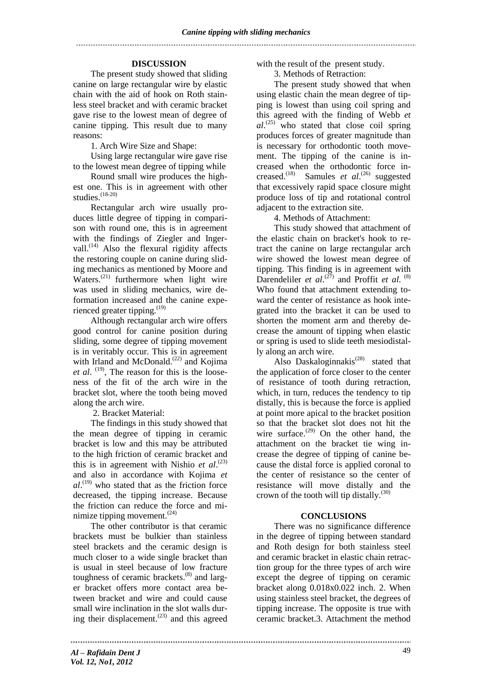## **DISCUSSION**

The present study showed that sliding canine on large rectangular wire by elastic chain with the aid of hook on Roth stainless steel bracket and with ceramic bracket gave rise to the lowest mean of degree of canine tipping. This result due to many reasons:

1. Arch Wire Size and Shape:

Using large rectangular wire gave rise to the lowest mean degree of tipping while

Round small wire produces the highest one. This is in agreement with other studies. $(18-20)$ 

Rectangular arch wire usually produces little degree of tipping in comparison with round one, this is in agreement with the findings of Ziegler and Ingervall.<sup>(14)</sup> Also the flexural rigidity affects the restoring couple on canine during sliding mechanics as mentioned by Moore and Waters.<sup>(21)</sup> furthermore when light wire was used in sliding mechanics, wire deformation increased and the canine experienced greater tipping.<sup>(19)</sup>

Although rectangular arch wire offers good control for canine position during sliding, some degree of tipping movement is in veritably occur. This is in agreement with Irland and McDonald.<sup>(22)</sup> and Kojima et al. <sup>(19)</sup>, The reason for this is the looseness of the fit of the arch wire in the bracket slot, where the tooth being moved along the arch wire.

2. Bracket Material:

The findings in this study showed that the mean degree of tipping in ceramic bracket is low and this may be attributed to the high friction of ceramic bracket and this is in agreement with Nishio *et al.*<sup>(23)</sup> and also in accordance with Kojima *et*   $al$ <sup>(19)</sup> who stated that as the friction force decreased, the tipping increase. Because the friction can reduce the force and minimize tipping movement.(24)

The other contributor is that ceramic brackets must be bulkier than stainless steel brackets and the ceramic design is much closer to a wide single bracket than is usual in steel because of low fracture toughness of ceramic brackets.<sup>(8)</sup> and larger bracket offers more contact area between bracket and wire and could cause small wire inclination in the slot walls during their displacement. $(23)$  and this agreed with the result of the present study.

3. Methods of Retraction:

The present study showed that when using elastic chain the mean degree of tipping is lowest than using coil spring and this agreed with the finding of Webb *et al*. (25) who stated that close coil spring produces forces of greater magnitude than is necessary for orthodontic tooth movement. The tipping of the canine is increased when the orthodontic force increased.(18) Samules *et al*. (26) suggested that excessively rapid space closure might produce loss of tip and rotational control adjacent to the extraction site.

4. Methods of Attachment:

This study showed that attachment of the elastic chain on bracket's hook to retract the canine on large rectangular arch wire showed the lowest mean degree of tipping. This finding is in agreement with Darendeliler *et al.*<sup>(27)</sup> and Proffit *et al.*<sup>(8)</sup> Who found that attachment extending toward the center of resistance as hook integrated into the bracket it can be used to shorten the moment arm and thereby decrease the amount of tipping when elastic or spring is used to slide teeth mesiodistally along an arch wire.

Also Daskaloginnakis<sup> $(28)$ </sup> stated that the application of force closer to the center of resistance of tooth during retraction, which, in turn, reduces the tendency to tip distally, this is because the force is applied at point more apical to the bracket position so that the bracket slot does not hit the wire surface.<sup> $(29)$ </sup> On the other hand, the attachment on the bracket tie wing increase the degree of tipping of canine because the distal force is applied coronal to the center of resistance so the center of resistance will move distally and the crown of the tooth will tip distally.<sup>(30)</sup>

# **CONCLUSIONS**

There was no significance difference in the degree of tipping between standard and Roth design for both stainless steel and ceramic bracket in elastic chain retraction group for the three types of arch wire except the degree of tipping on ceramic bracket along 0.018x0.022 inch. 2. When using stainless steel bracket, the degrees of tipping increase. The opposite is true with ceramic bracket.3. Attachment the method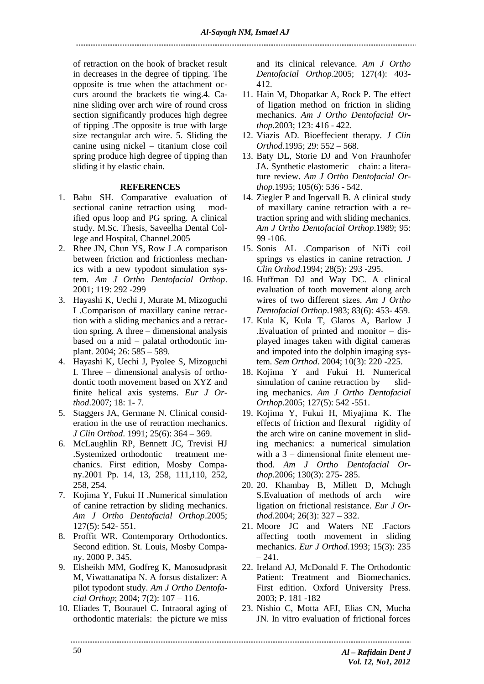of retraction on the hook of bracket result in decreases in the degree of tipping. The opposite is true when the attachment occurs around the brackets tie wing.4. Canine sliding over arch wire of round cross section significantly produces high degree of tipping .The opposite is true with large size rectangular arch wire. 5. Sliding the canine using nickel – titanium close coil spring produce high degree of tipping than sliding it by elastic chain.

### **REFERENCES**

- 1. Babu SH. Comparative evaluation of sectional canine retraction using modified opus loop and PG spring. A clinical study. M.Sc. Thesis, Saveelha Dental College and Hospital, Channel.2005
- 2. Rhee JN, Chun YS, Row J .A comparison between friction and frictionless mechanics with a new typodont simulation system. *Am J Ortho Dentofacial Orthop*. 2001; 119: 292 -299
- 3. Hayashi K, Uechi J, Murate M, Mizoguchi I .Comparison of maxillary canine retraction with a sliding mechanics and a retraction spring. A three – dimensional analysis based on a mid – palatal orthodontic implant. 2004; 26: 585 – 589.
- 4. Hayashi K, Uechi J, Pyolee S, Mizoguchi I. Three – dimensional analysis of orthodontic tooth movement based on XYZ and finite helical axis systems. *Eur J Orthod*.2007; 18: 1- 7.
- 5. Staggers JA, Germane N. Clinical consideration in the use of retraction mechanics. *J Clin Orthod*. 1991; 25(6): 364 – 369.
- 6. McLaughlin RP, Bennett JC, Trevisi HJ .Systemized orthodontic treatment mechanics. First edition, Mosby Company.2001 Pp. 14, 13, 258, 111,110, 252, 258, 254.
- 7. Kojima Y, Fukui H .Numerical simulation of canine retraction by sliding mechanics. *Am J Ortho Dentofacial Orthop*.2005; 127(5): 542- 551.
- 8. Proffit WR. Contemporary Orthodontics. Second edition. St. Louis, Mosby Company. 2000 P. 345.
- 9. Elsheikh MM, Godfreg K, Manosudprasit M, Viwattanatipa N. A forsus distalizer: A pilot typodont study. *Am J Ortho Dentofacial Orthop*; 2004; 7(2): 107 – 116.
- 10. Eliades T, Bourauel C. Intraoral aging of orthodontic materials: the picture we miss

and its clinical relevance. *Am J Ortho Dentofacial Orthop*.2005; 127(4): 403- 412.

- 11. Hain M, Dhopatkar A, Rock P. The effect of ligation method on friction in sliding mechanics. *Am J Ortho Dentofacial Orthop*.2003; 123: 416 - 422.
- 12. Viazis AD. Bioeffecient therapy. *J Clin Orthod*.1995; 29: 552 – 568.
- 13. Baty DL, Storie DJ and Von Fraunhofer JA. Synthetic elastomeric chain: a literature review. *Am J Ortho Dentofacial Orthop*.1995; 105(6): 536 - 542.
- 14. Ziegler P and Ingervall B. A clinical study of maxillary canine retraction with a retraction spring and with sliding mechanics. *Am J Ortho Dentofacial Orthop*.1989; 95: 99 -106.
- 15. Sonis AL .Comparison of NiTi coil springs vs elastics in canine retraction. *J Clin Orthod*.1994; 28(5): 293 -295.
- 16. Huffman DJ and Way DC. A clinical evaluation of tooth movement along arch wires of two different sizes. *Am J Ortho Dentofacial Orthop*.1983; 83(6): 453- 459.
- 17. Kula K, Kula T, Glaros A, Barlow J .Evaluation of printed and monitor – displayed images taken with digital cameras and impoted into the dolphin imaging system. *Sem Orthod*. 2004; 10(3): 220 -225.
- 18. Kojima Y and Fukui H. Numerical simulation of canine retraction by sliding mechanics. *Am J Ortho Dentofacial Orthop*.2005; 127(5): 542 -551.
- 19. Kojima Y, Fukui H, Miyajima K. The effects of friction and flexural rigidity of the arch wire on canine movement in sliding mechanics: a numerical simulation with a 3 – dimensional finite element method. *Am J Ortho Dentofacial Orthop*.2006; 130(3): 275- 285.
- 20. 20. Khambay B, Millett D, Mchugh S.Evaluation of methods of arch wire ligation on frictional resistance. *Eur J Orthod*.2004; 26(3): 327 – 332.
- 21. Moore JC and Waters NE .Factors affecting tooth movement in sliding mechanics. *Eur J Orthod*.1993; 15(3): 235  $-241$ .
- 22. Ireland AJ, McDonald F. The Orthodontic Patient: Treatment and Biomechanics. First edition. Oxford University Press. 2003; P. 181 -182
- 23. Nishio C, Motta AFJ, Elias CN, Mucha JN. In vitro evaluation of frictional forces